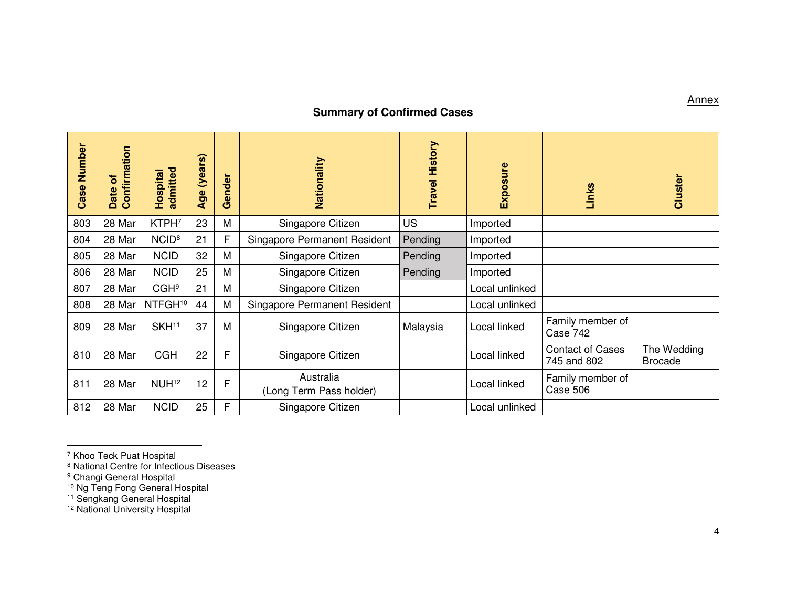## **Summary of Confirmed Cases**

| Number<br>Case | Confirmation<br>៊<br>Date | admitted<br>Hospital | (years)<br>Age | ender<br>Ğ | Nationality                          | History<br><b>Travel</b> | Exposure       | Links                                  | Cluster                       |
|----------------|---------------------------|----------------------|----------------|------------|--------------------------------------|--------------------------|----------------|----------------------------------------|-------------------------------|
| 803            | 28 Mar                    | KTPH <sub>7</sub>    | 23             | M          | Singapore Citizen                    | <b>US</b>                | Imported       |                                        |                               |
| 804            | 28 Mar                    | NCID <sup>8</sup>    | 21             | F          | Singapore Permanent Resident         | Pending                  | Imported       |                                        |                               |
| 805            | 28 Mar                    | <b>NCID</b>          | 32             | M          | Singapore Citizen                    | Pending                  | Imported       |                                        |                               |
| 806            | 28 Mar                    | <b>NCID</b>          | 25             | M          | Singapore Citizen                    | Pending                  | Imported       |                                        |                               |
| 807            | 28 Mar                    | CGH <sup>9</sup>     | 21             | M          | Singapore Citizen                    |                          | Local unlinked |                                        |                               |
| 808            | 28 Mar                    | NTFGH <sup>10</sup>  | 44             | M          | Singapore Permanent Resident         |                          | Local unlinked |                                        |                               |
| 809            | 28 Mar                    | SKH <sup>11</sup>    | 37             | M          | Singapore Citizen                    | Malaysia                 | Local linked   | Family member of<br>Case 742           |                               |
| 810            | 28 Mar                    | <b>CGH</b>           | 22             | F          | Singapore Citizen                    |                          | Local linked   | <b>Contact of Cases</b><br>745 and 802 | The Wedding<br><b>Brocade</b> |
| 811            | 28 Mar                    | NUH <sup>12</sup>    | 12             | F          | Australia<br>(Long Term Pass holder) |                          | Local linked   | Family member of<br>Case 506           |                               |
| 812            | 28 Mar                    | <b>NCID</b>          | 25             | F          | Singapore Citizen                    |                          | Local unlinked |                                        |                               |

**Annex** 

<sup>&</sup>lt;sup>7</sup> Khoo Teck Puat Hospital<br><sup>8</sup> National Centre for Infectious Diseases<br><sup>9</sup> Changi General Hospital<br><sup>10</sup> Ng Teng Fong General Hospital<br><sup>11</sup> Sengkang General Hospital<br><sup>12</sup> National University Hospital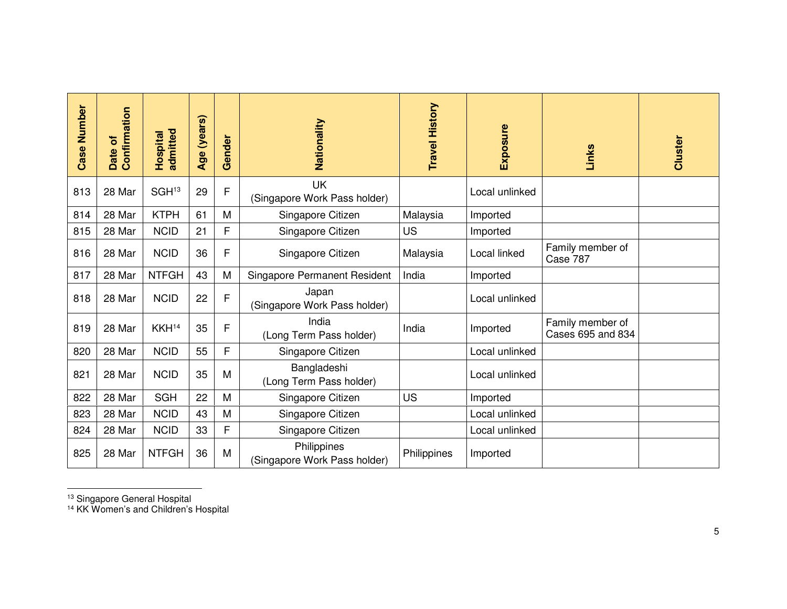| <b>Case Number</b> | Confirmation<br>ð<br>Date | admitted<br>Hospital | Age (years) | Gender | Nationality                                 | <b>Travel History</b> | Exposure       | Links                                 | <b>Cluster</b> |
|--------------------|---------------------------|----------------------|-------------|--------|---------------------------------------------|-----------------------|----------------|---------------------------------------|----------------|
| 813                | 28 Mar                    | SGH <sub>13</sub>    | 29          | F      | <b>UK</b><br>(Singapore Work Pass holder)   |                       | Local unlinked |                                       |                |
| 814                | 28 Mar                    | <b>KTPH</b>          | 61          | M      | Singapore Citizen                           | Malaysia              | Imported       |                                       |                |
| 815                | 28 Mar                    | <b>NCID</b>          | 21          | F      | Singapore Citizen                           | <b>US</b>             | Imported       |                                       |                |
| 816                | 28 Mar                    | <b>NCID</b>          | 36          | F      | Singapore Citizen                           | Malaysia              | Local linked   | Family member of<br>Case 787          |                |
| 817                | 28 Mar                    | <b>NTFGH</b>         | 43          | M      | <b>Singapore Permanent Resident</b>         | India                 | Imported       |                                       |                |
| 818                | 28 Mar                    | <b>NCID</b>          | 22          | F      | Japan<br>(Singapore Work Pass holder)       |                       | Local unlinked |                                       |                |
| 819                | 28 Mar                    | KKH <sup>14</sup>    | 35          | F      | India<br>(Long Term Pass holder)            | India                 | Imported       | Family member of<br>Cases 695 and 834 |                |
| 820                | 28 Mar                    | <b>NCID</b>          | 55          | F      | Singapore Citizen                           |                       | Local unlinked |                                       |                |
| 821                | 28 Mar                    | <b>NCID</b>          | 35          | M      | Bangladeshi<br>(Long Term Pass holder)      |                       | Local unlinked |                                       |                |
| 822                | 28 Mar                    | <b>SGH</b>           | 22          | M      | Singapore Citizen                           | <b>US</b>             | Imported       |                                       |                |
| 823                | 28 Mar                    | <b>NCID</b>          | 43          | M      | Singapore Citizen                           |                       | Local unlinked |                                       |                |
| 824                | 28 Mar                    | <b>NCID</b>          | 33          | F      | Singapore Citizen                           |                       | Local unlinked |                                       |                |
| 825                | 28 Mar                    | <b>NTFGH</b>         | 36          | M      | Philippines<br>(Singapore Work Pass holder) | Philippines           | Imported       |                                       |                |

<sup>13</sup> Singapore General Hospital<br><sup>14</sup> KK Women's and Children's Hospital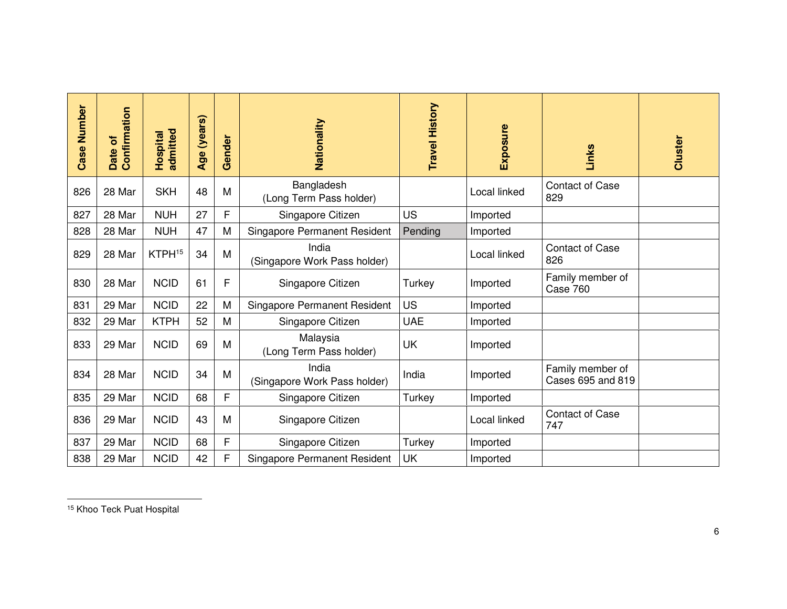| <b>Case Number</b> | Confirmation<br>৳<br><b>Date</b> | admitted<br>Hospital | Age (years) | Gender | Nationality                           | <b>Travel History</b> | Exposure     | Links                                 | <b>Cluster</b> |
|--------------------|----------------------------------|----------------------|-------------|--------|---------------------------------------|-----------------------|--------------|---------------------------------------|----------------|
| 826                | 28 Mar                           | <b>SKH</b>           | 48          | M      | Bangladesh<br>(Long Term Pass holder) |                       | Local linked | <b>Contact of Case</b><br>829         |                |
| 827                | 28 Mar                           | <b>NUH</b>           | 27          | F      | Singapore Citizen                     | <b>US</b>             | Imported     |                                       |                |
| 828                | 28 Mar                           | <b>NUH</b>           | 47          | M      | <b>Singapore Permanent Resident</b>   | Pending               | Imported     |                                       |                |
| 829                | 28 Mar                           | KTPH <sup>15</sup>   | 34          | M      | India<br>(Singapore Work Pass holder) |                       | Local linked | <b>Contact of Case</b><br>826         |                |
| 830                | 28 Mar                           | <b>NCID</b>          | 61          | F      | Singapore Citizen                     | Turkey                | Imported     | Family member of<br>Case 760          |                |
| 831                | 29 Mar                           | <b>NCID</b>          | 22          | M      | <b>Singapore Permanent Resident</b>   | <b>US</b>             | Imported     |                                       |                |
| 832                | 29 Mar                           | <b>KTPH</b>          | 52          | M      | Singapore Citizen                     | <b>UAE</b>            | Imported     |                                       |                |
| 833                | 29 Mar                           | <b>NCID</b>          | 69          | M      | Malaysia<br>(Long Term Pass holder)   | UK                    | Imported     |                                       |                |
| 834                | 28 Mar                           | <b>NCID</b>          | 34          | M      | India<br>(Singapore Work Pass holder) | India                 | Imported     | Family member of<br>Cases 695 and 819 |                |
| 835                | 29 Mar                           | <b>NCID</b>          | 68          | F      | Singapore Citizen                     | Turkey                | Imported     |                                       |                |
| 836                | 29 Mar                           | <b>NCID</b>          | 43          | M      | Singapore Citizen                     |                       | Local linked | <b>Contact of Case</b><br>747         |                |
| 837                | 29 Mar                           | <b>NCID</b>          | 68          | F      | Singapore Citizen                     | Turkey                | Imported     |                                       |                |
| 838                | 29 Mar                           | <b>NCID</b>          | 42          | F      | <b>Singapore Permanent Resident</b>   | UK                    | Imported     |                                       |                |

15 Khoo Teck Puat Hospital